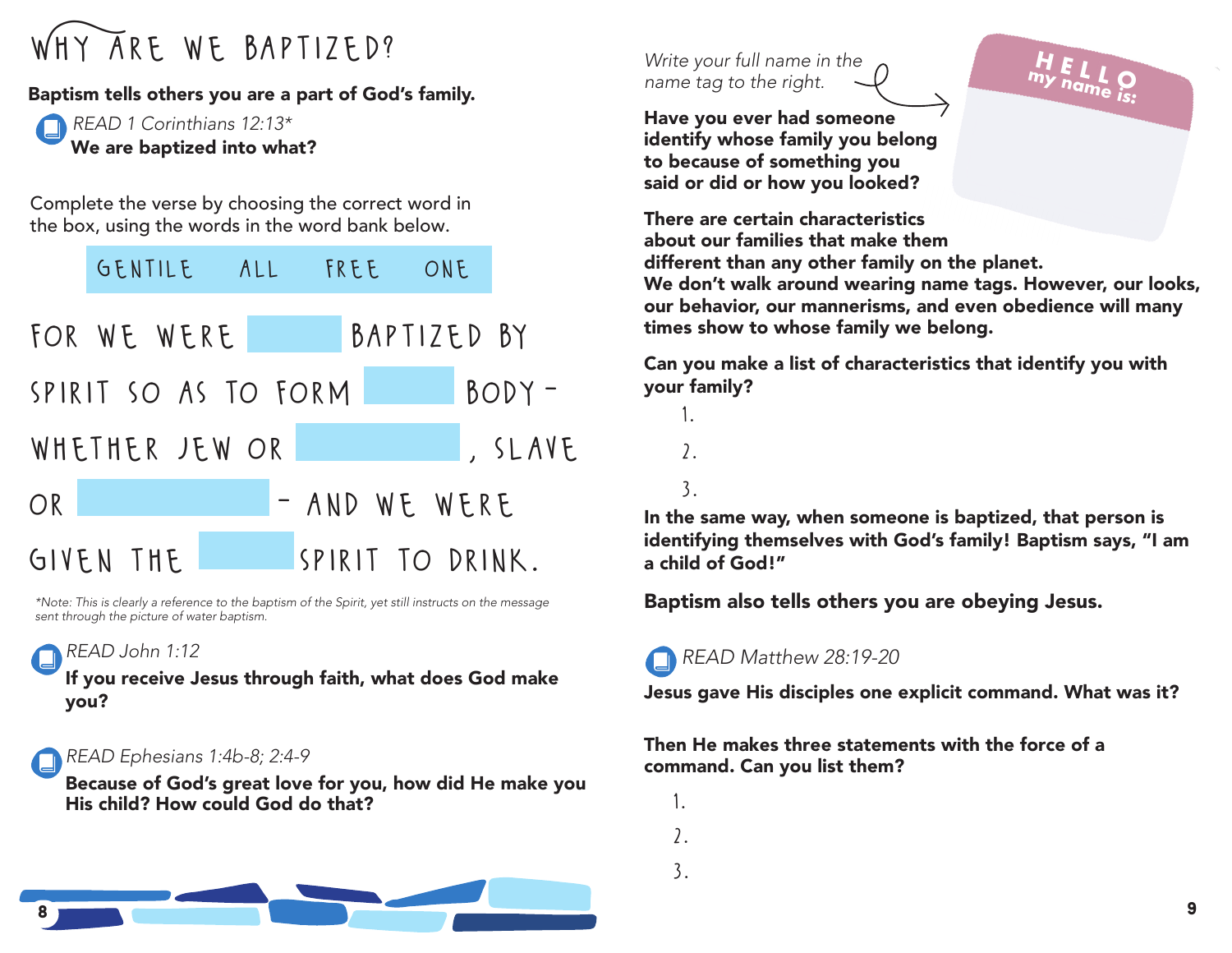### WHY ARE WE BAPTIZED?

#### Baptism tells others you are a part of God's family.

*READ 1 Corinthians 12:13\** We are baptized into what?

Complete the verse by choosing the correct word in the box, using the words in the word bank below.



*\*Note: This is clearly a reference to the baptism of the Spirit, yet still instructs on the message sent through the picture of water baptism.*

#### *READ John 1:12*

If you receive Jesus through faith, what does God make you?

#### *READ Ephesians 1:4b-8; 2:4-9*

Because of God's great love for you, how did He make you His child? How could God do that?



*Write your full name in the name tag to the right.*

Have you ever had someone identify whose family you belong to because of something you said or did or how you looked?

There are certain characteristics about our families that make them different than any other family on the planet. We don't walk around wearing name tags. However, our looks,

our behavior, our mannerisms, and even obedience will many times show to whose family we belong.

**H E L L O my name is:**

Can you make a list of characteristics that identify you with your family?

- 1. 2.
- 3.

In the same way, when someone is baptized, that person is identifying themselves with God's family! Baptism says, "I am a child of God!"

Baptism also tells others you are obeying Jesus.

#### *READ Matthew 28:19-20*

Jesus gave His disciples one explicit command. What was it?

#### Then He makes three statements with the force of a command. Can you list them?

- 1.
- 2.
- 3.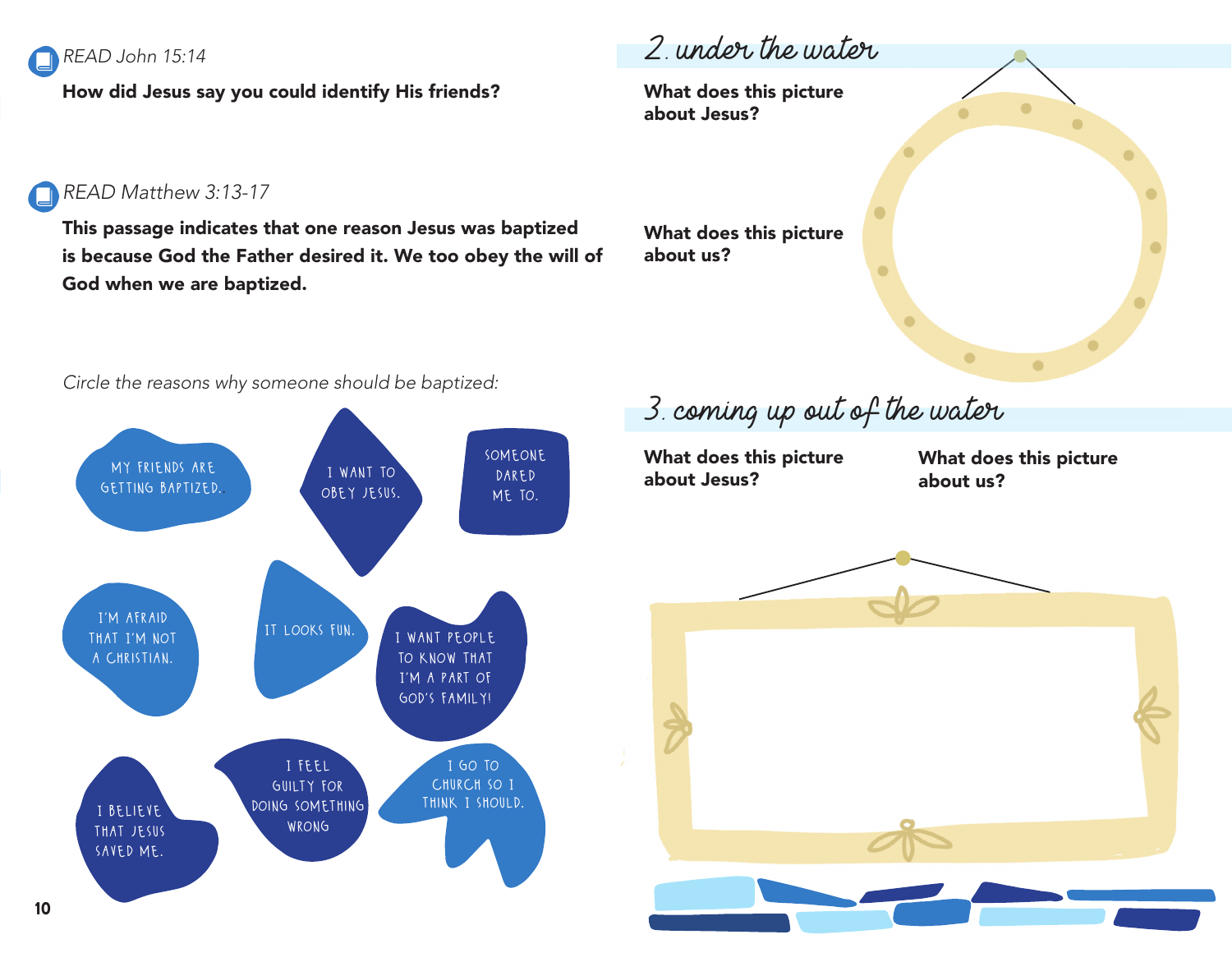

How did Jesus say you could identify His friends?

### 2. under the water

What does this picture about Jesus?

#### *READ Matthew 3:13-17*

This passage indicates that one reason Jesus was baptized is because God the Father desired it. We too obey the will of God when we are baptized.

What does this picture about us?

*Circle the reasons why someone should be baptized:*



3. coming up out of the water

What does this picture about Jesus?

What does this picture about us?

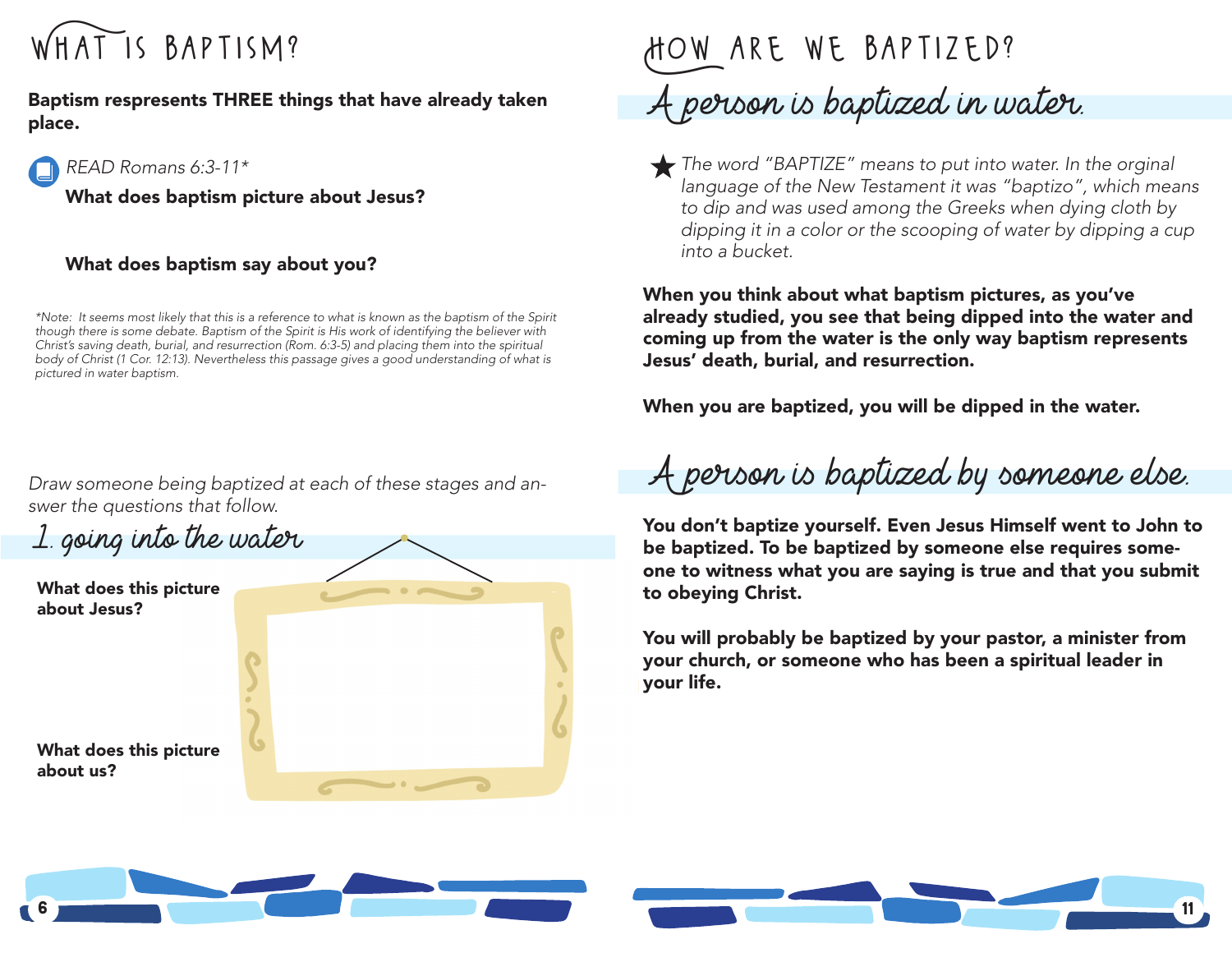

Baptism respresents THREE things that have already taken place.



What does baptism picture about Jesus?

#### What does baptism say about you?

*\*Note: It seems most likely that this is a reference to what is known as the baptism of the Spirit though there is some debate. Baptism of the Spirit is His work of identifying the believer with Christ's saving death, burial, and resurrection (Rom. 6:3-5) and placing them into the spiritual body of Christ (1 Cor. 12:13). Nevertheless this passage gives a good understanding of what is pictured in water baptism.*

*Draw someone being baptized at each of these stages and answer the questions that follow.*



### How are we baptized? A person is baptized in water.

*The word "BAPTIZE" means to put into water. In the orginal language of the New Testament it was "baptizo", which means to dip and was used among the Greeks when dying cloth by dipping it in a color or the scooping of water by dipping a cup into a bucket.*

When you think about what baptism pictures, as you've already studied, you see that being dipped into the water and coming up from the water is the only way baptism represents Jesus' death, burial, and resurrection.

When you are baptized, you will be dipped in the water.

A person is baptized by someone else.

You don't baptize yourself. Even Jesus Himself went to John to be baptized. To be baptized by someone else requires someone to witness what you are saying is true and that you submit to obeying Christ.

You will probably be baptized by your pastor, a minister from your church, or someone who has been a spiritual leader in your life.

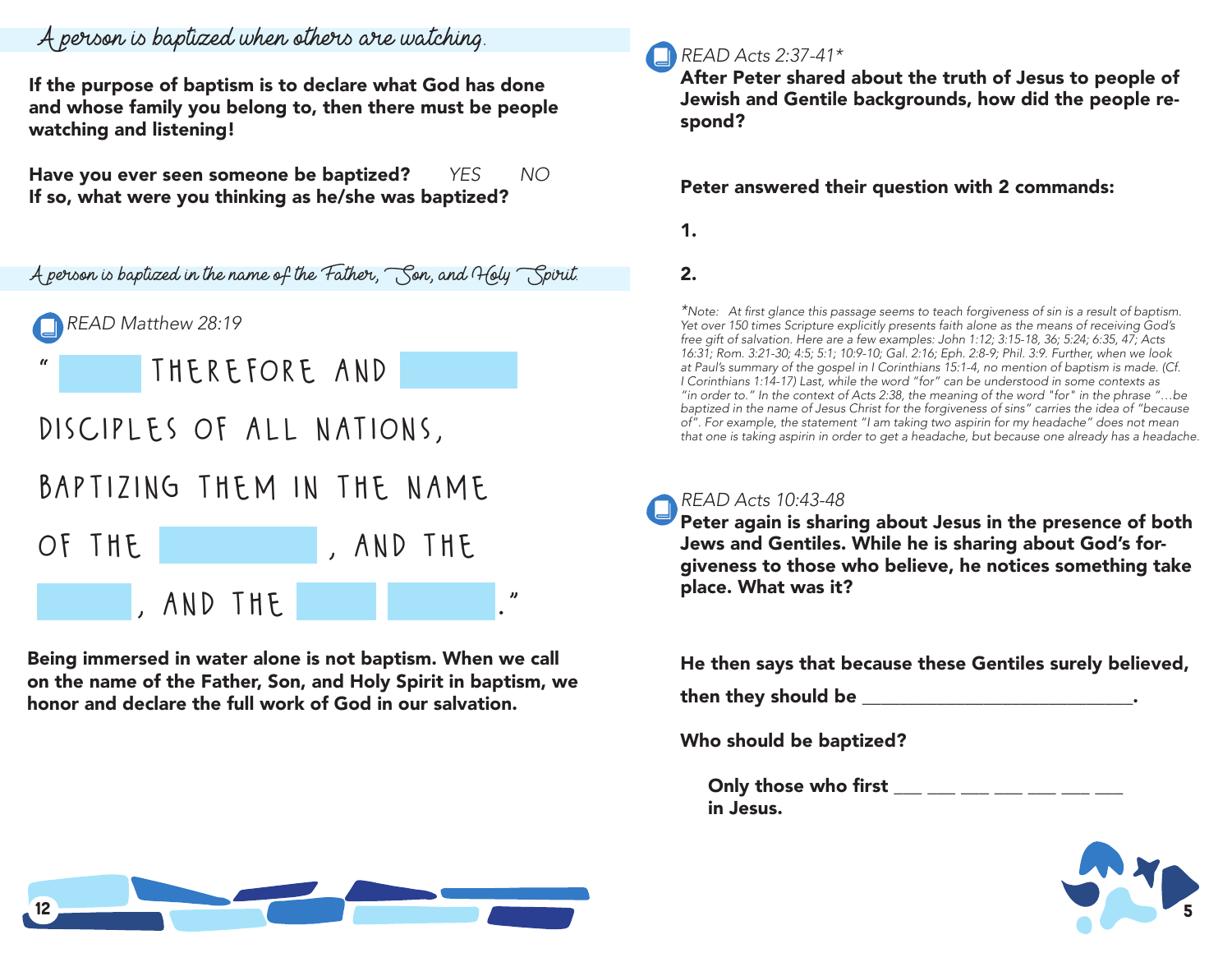#### A person is baptized when others are watching.

If the purpose of baptism is to declare what God has done and whose family you belong to, then there must be people watching and listening!

Have you ever seen someone be baptized? *YES NO* If so, what were you thinking as he/she was baptized?



Being immersed in water alone is not baptism. When we call on the name of the Father, Son, and Holy Spirit in baptism, we honor and declare the full work of God in our salvation.

#### *READ Acts 2:37-41\**

After Peter shared about the truth of Jesus to people of Jewish and Gentile backgrounds, how did the people respond?

#### Peter answered their question with 2 commands:

1.

2.

*\**Note: At first glance this passage seems to teach forgiveness of sin is a result of baptism. *Yet over 150 times Scripture explicitly presents faith alone as the means of receiving God's free gift of salvation. Here are a few examples: John 1:12; 3:15-18, 36; 5:24; 6:35, 47; Acts 16:31; Rom. 3:21-30; 4:5; 5:1; 10:9-10; Gal. 2:16; Eph. 2:8-9; Phil. 3:9. Further, when we look at Paul's summary of the gospel in I Corinthians 15:1-4, no mention of baptism is made. (Cf. I Corinthians 1:14-17) Last, while the word "for" can be understood in some contexts as "in order to." In the context of Acts 2:38, the meaning of the word* "*for*" *in the phrase "…be baptized in the name of Jesus Christ for the forgiveness of sins" carries the idea of "because of"*. *For example, the statement "I am taking two aspirin for my headache" does not mean that one is taking aspirin in order to get a headache, but because one already has a headache.*

#### *READ Acts 10:43-48*

Peter again is sharing about Jesus in the presence of both Jews and Gentiles. While he is sharing about God's forgiveness to those who believe, he notices something take place. What was it?

He then says that because these Gentiles surely believed,

then they should be \_\_\_\_\_\_\_\_\_\_\_\_\_\_\_\_\_\_\_\_\_\_\_\_\_\_\_\_\_.

Who should be baptized?

Only those who first in Jesus.



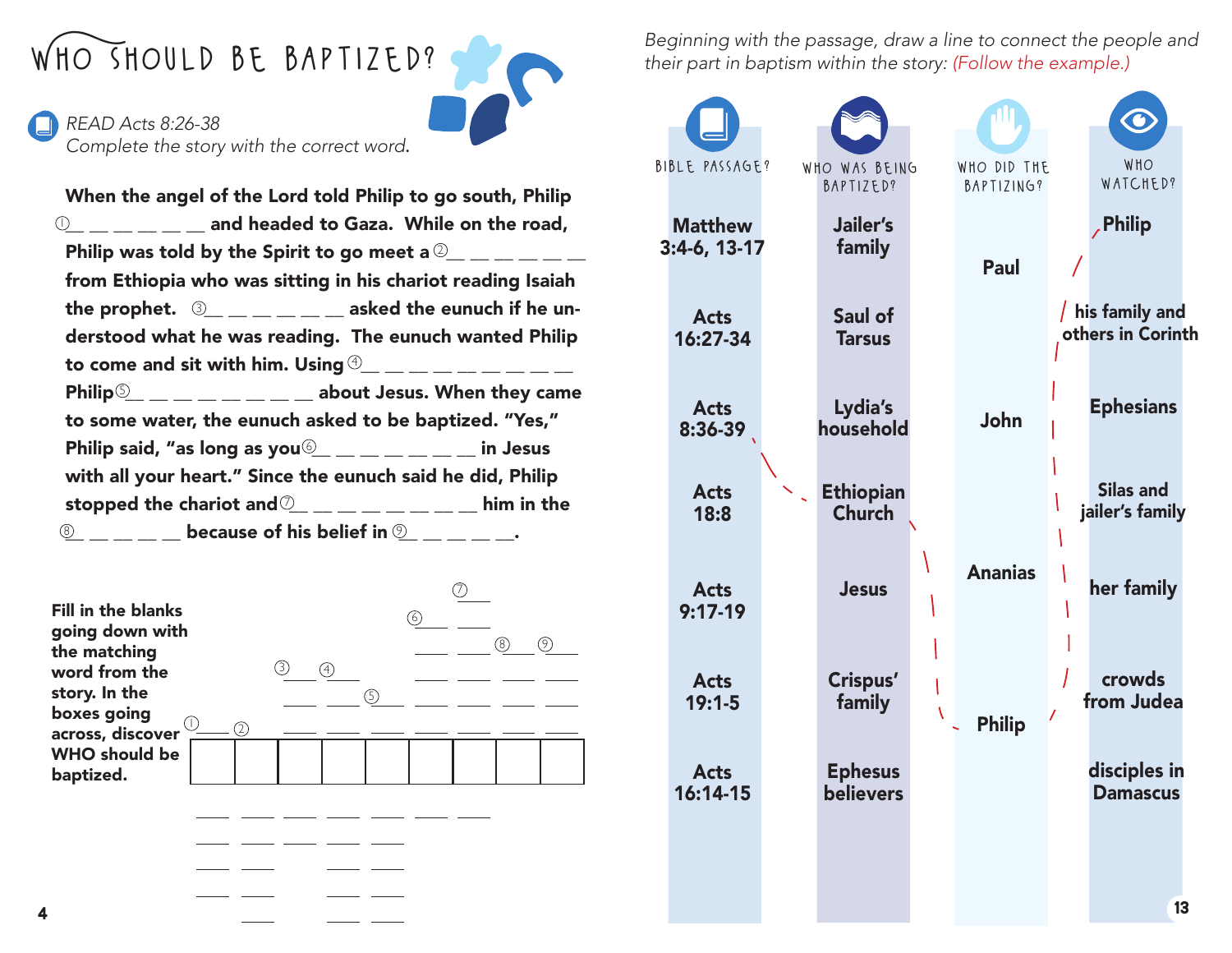*READ Acts 8:26-38 Complete the story with the correct word*.

 $\circledn$ Philip was told by the Spirit to go meet a  ${}^{{\mathbb Q}}\_{}_{-}\_{}_{-}\_{}_{-}\_{}_{-}$ the prophet.  $\;\mathbb{S}_{\!-\!1\,\dots-\,2\,\dots}$  asked the eunuch if he unto come and sit with him. Using  ${}^{\tiny{\textcircled{\tiny 4}}\!}-\!-\!-\!-\!-\!-\!-\!$ Philip $\frac{\mathbb{S}_+}{\mathbb{S}_+}\_ \dots\_ \dots \_$  about Jesus. When they came Philip said, "as long as you $\overset{\text{\normalsize(}}{=} \_ \_\_ \_\_ \_ \_ \$  in Jesus When the angel of the Lord told Philip to go south, Philip  $\frac{1}{2}$   $\frac{1}{2}$   $\frac{1}{2}$  and headed to Gaza. While on the road, from Ethiopia who was sitting in his chariot reading Isaiah derstood what he was reading. The eunuch wanted Philip to some water, the eunuch asked to be baptized. "Yes," with all your heart." Since the eunuch said he did, Philip stopped the chariot and $\textcircled{2}_{\_\_\_\_\_\_\_\_\_\_\_\_\_\_\_\_\_\_\_\_\_\_$  him in the  $\frac{\mathbb{S}_+}{\mathbb{S}_-}\_\_=\_\_$  because of his belief in  $\mathbb{S}_- \_\_ \_\_ \_\_$ 



**WHO SHOULD BE BAPTIZED?** *Beginning with the passage, draw a line to connect the people and their part in baptism within the story: (Follow the example.) their part in baptism within the story: (Follow the example.)*

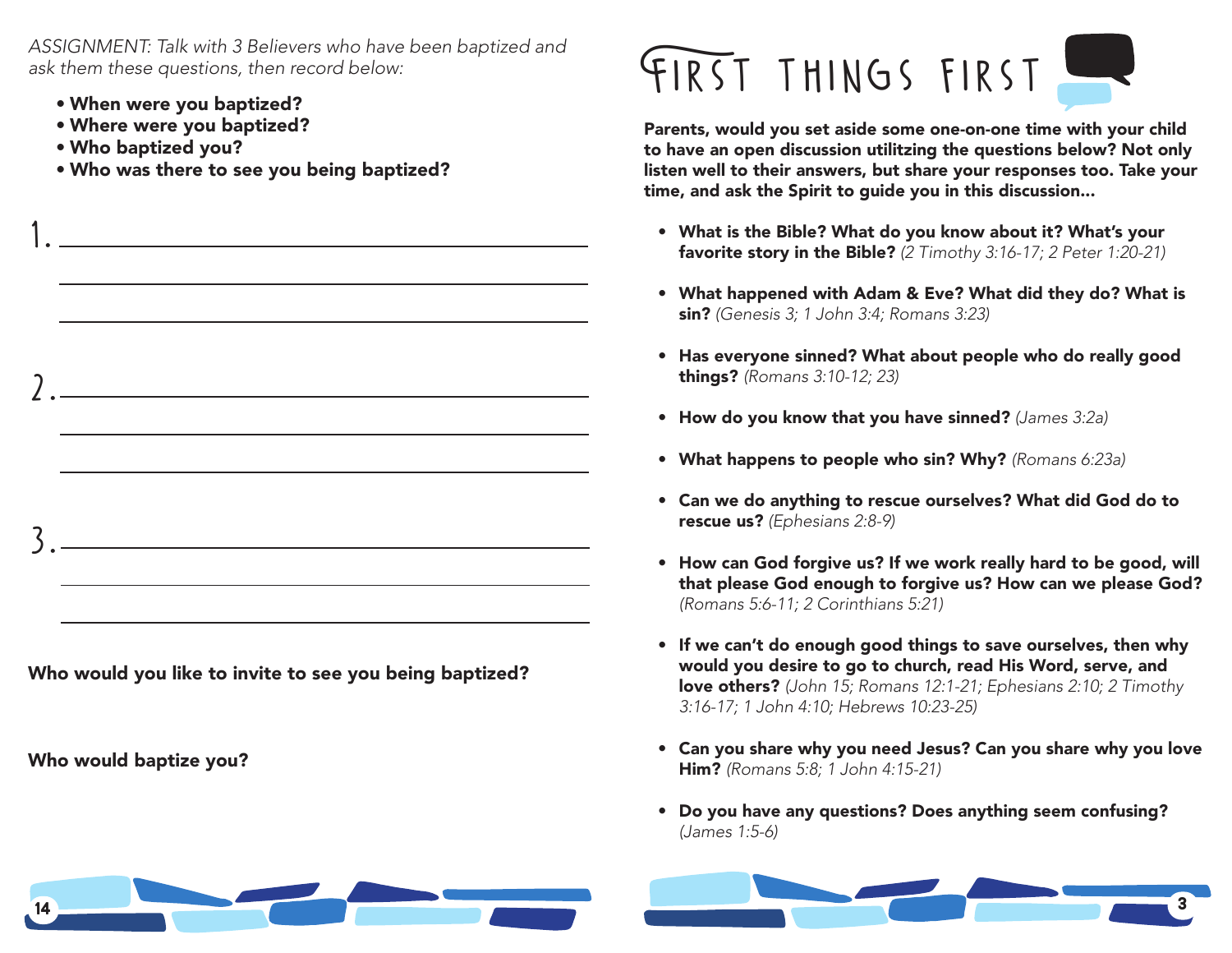*ASSIGNMENT: Talk with 3 Believers who have been baptized and ask them these questions, then record below:*

- When were you baptized?
- Where were you baptized?
- Who baptized you?

Who would baptize you?

 $1. -$ 

2.

3.

• Who was there to see you being baptized?

# FIRST THINGS FIRST.

Parents, would you set aside some one-on-one time with your child to have an open discussion utilitzing the questions below? Not only listen well to their answers, but share your responses too. Take your time, and ask the Spirit to guide you in this discussion...

- What is the Bible? What do you know about it? What's your favorite story in the Bible? *(2 Timothy 3:16-17; 2 Peter 1:20-21)*
- What happened with Adam & Eve? What did they do? What is sin? *(Genesis 3; 1 John 3:4; Romans 3:23)*
- Has everyone sinned? What about people who do really good things? *(Romans 3:10-12; 23)*
- How do you know that you have sinned? *(James 3:2a)*
- What happens to people who sin? Why? *(Romans 6:23a)*
- Can we do anything to rescue ourselves? What did God do to rescue us? *(Ephesians 2:8-9)*
- How can God forgive us? If we work really hard to be good, will that please God enough to forgive us? How can we please God? *(Romans 5:6-11; 2 Corinthians 5:21)*
- If we can't do enough good things to save ourselves, then why would you desire to go to church, read His Word, serve, and love others? *(John 15; Romans 12:1-21; Ephesians 2:10; 2 Timothy 3:16-17; 1 John 4:10; Hebrews 10:23-25)*
- Can you share why you need Jesus? Can you share why you love Him? *(Romans 5:8; 1 John 4:15-21)*
- Do you have any questions? Does anything seem confusing? *(James 1:5-6)*



Who would you like to invite to see you being baptized?

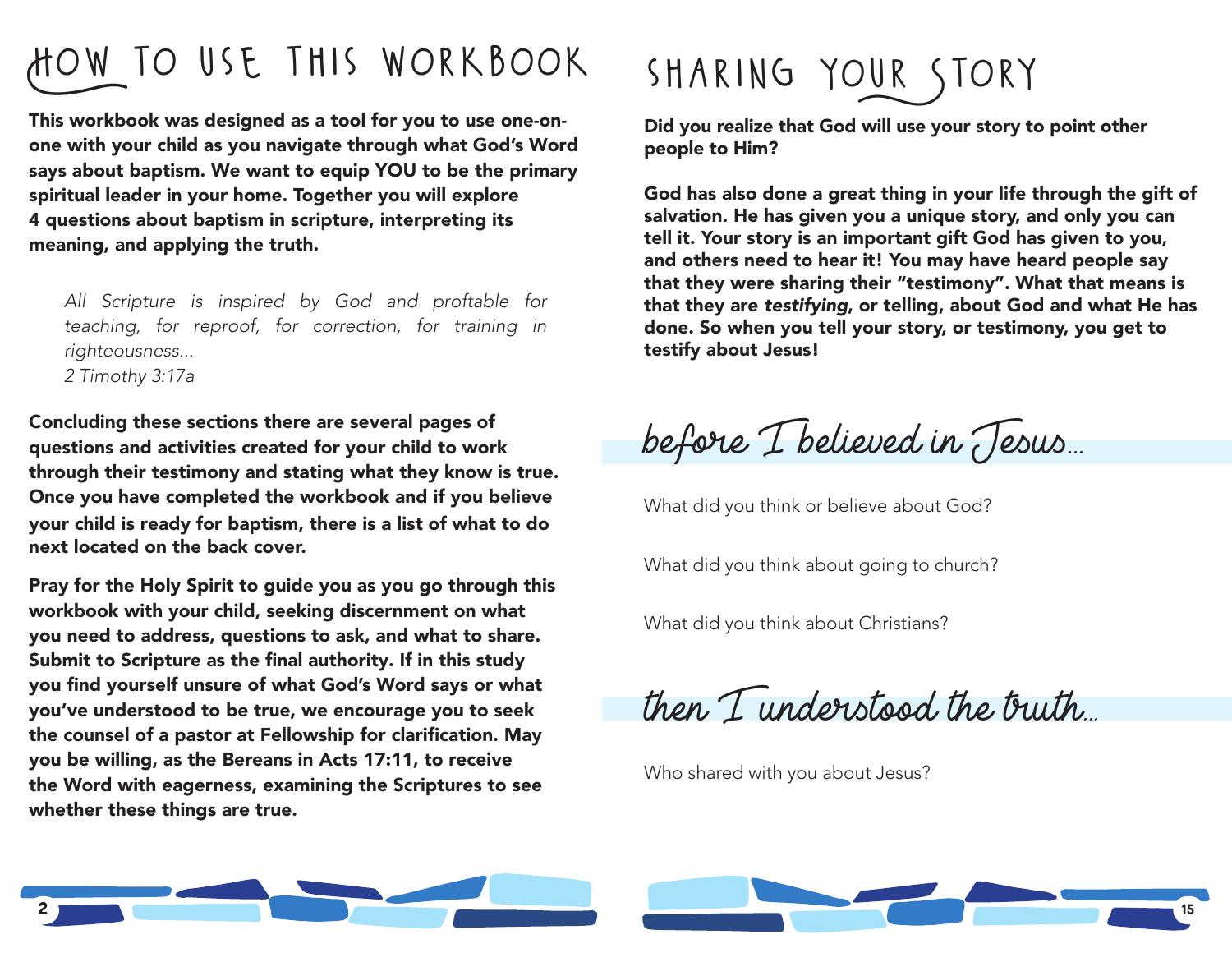### How to use this workbook

This workbook was designed as a tool for you to use one-onone with your child as you navigate through what God's Word says about baptism. We want to equip YOU to be the primary spiritual leader in your home. Together you will explore 4 questions about baptism in scripture, interpreting its meaning, and applying the truth.

*All Scripture is inspired by God and proftable for teaching, for reproof, for correction, for training in righteousness... 2 Timothy 3:17a*

Concluding these sections there are several pages of questions and activities created for your child to work through their testimony and stating what they know is true. Once you have completed the workbook and if you believe your child is ready for baptism, there is a list of what to do next located on the back cover.

Pray for the Holy Spirit to guide you as you go through this workbook with your child, seeking discernment on what you need to address, questions to ask, and what to share. Submit to Scripture as the final authority. If in this study you find yourself unsure of what God's Word says or what you've understood to be true, we encourage you to seek the counsel of a pastor at Fellowship for clarification. May you be willing, as the Bereans in Acts 17:11, to receive the Word with eagerness, examining the Scriptures to see whether these things are true.

## SHARING YOUR STORY

Did you realize that God will use your story to point other people to Him?

God has also done a great thing in your life through the gift of salvation. He has given you a unique story, and only you can tell it. Your story is an important gift God has given to you, and others need to hear it! You may have heard people say that they were sharing their "testimony". What that means is that they are *testifying*, or telling, about God and what He has done. So when you tell your story, or testimony, you get to testify about Jesus!

before I believed in Jesus...

What did you think or believe about God?

What did you think about going to church?

What did you think about Christians?

then I understood the truth...

Who shared with you about Jesus?

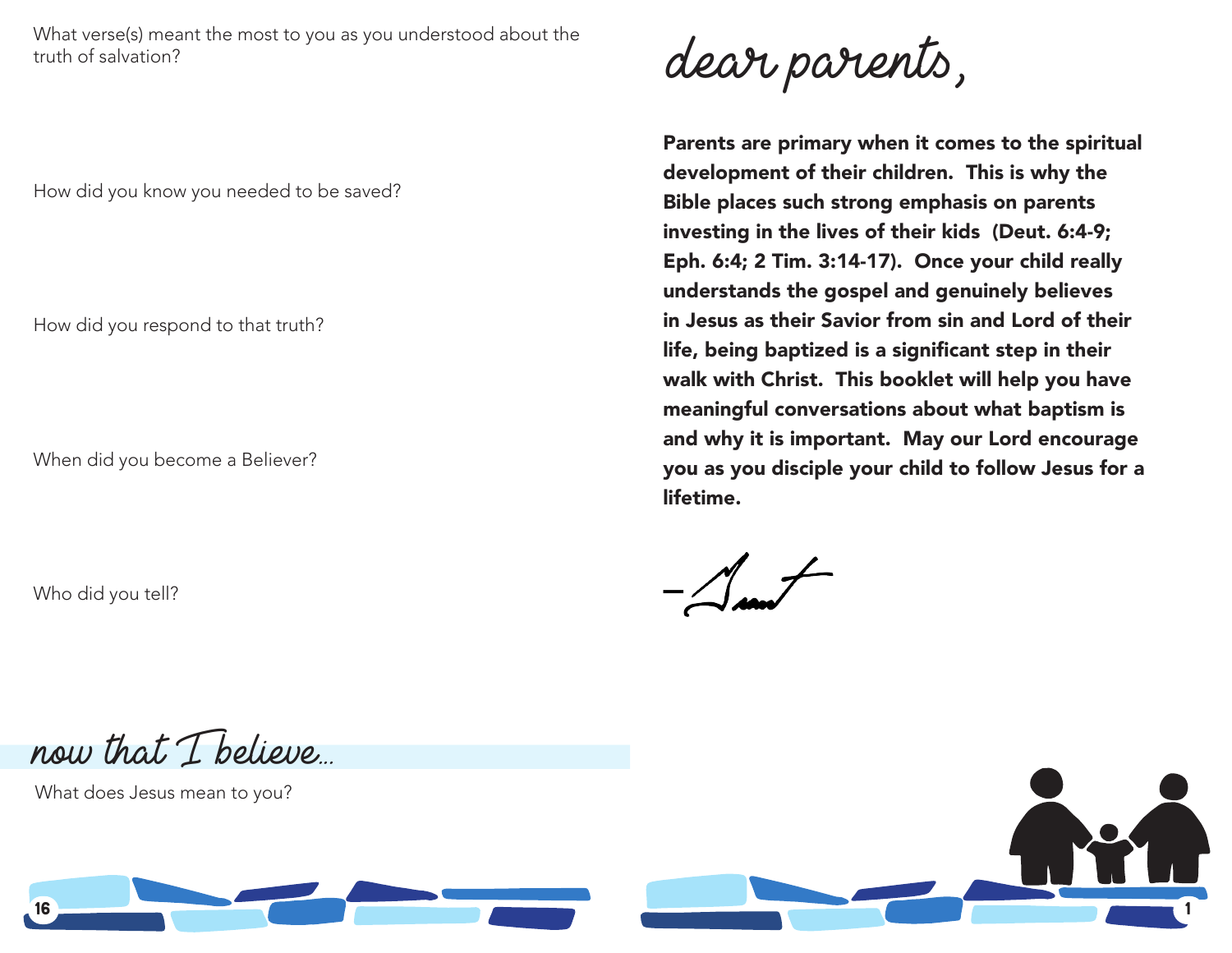What verse(s) meant the most to you as you understood about the truth of salvation?

How did you know you needed to be saved?

How did you respond to that truth?

When did you become a Believer?

Who did you tell?

dear parents,

Parents are primary when it comes to the spiritual development of their children. This is why the Bible places such strong emphasis on parents investing in the lives of their kids (Deut. 6:4-9; Eph. 6:4; 2 Tim. 3:14-17). Once your child really understands the gospel and genuinely believes in Jesus as their Savior from sin and Lord of their life, being baptized is a significant step in their walk with Christ. This booklet will help you have meaningful conversations about what baptism is and why it is important. May our Lord encourage you as you disciple your child to follow Jesus for a lifetime.

now that I believe...

What does Jesus mean to you?



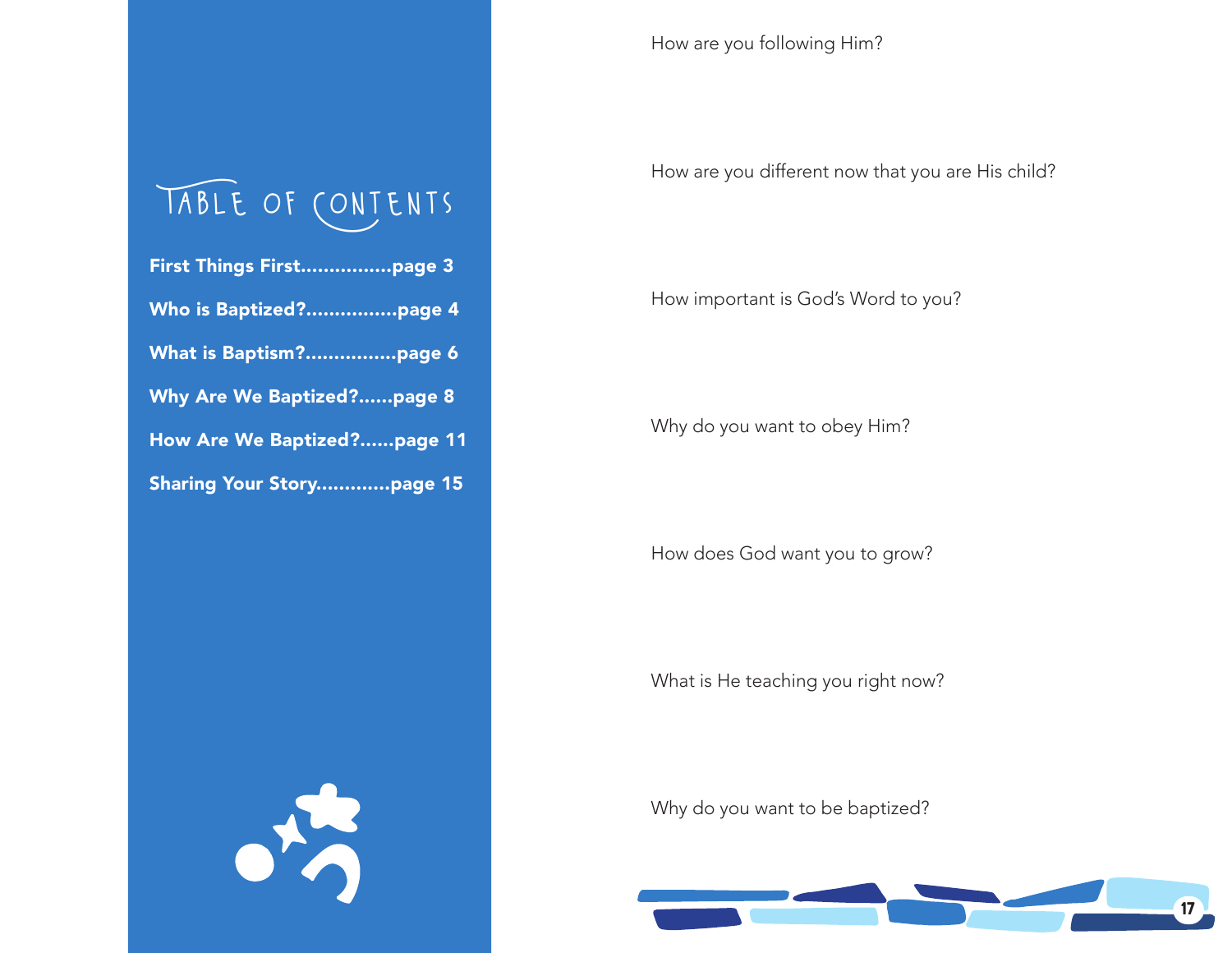### Table of Contents

| Who is Baptized?page 4            |
|-----------------------------------|
| What is Baptism?page 6            |
| Why Are We Baptized?page 8        |
| How Are We Baptized?page 11       |
| Sharing Vour Stary <b>hang</b> 15 |

What is He teaching you right now?

Why do you want to be baptized?



Sharing Your Story.............page 15

方

How are you following Him?

How are you different now that you are His child?

How important is God's Word to you?

Why do you want to obey Him?

How does God want you to grow?